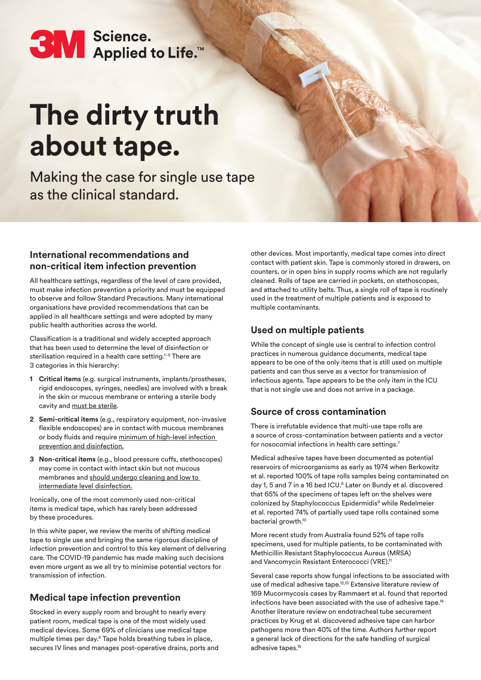# **3M** Science.<br>Applied to Life.<sup>16</sup>

## **The dirty truth about tape.**

Making the case for single use tape as the clinical standard.

#### **International recommendations and non-critical item infection prevention**

All healthcare settings, regardless of the level of care provided, must make infection prevention a priority and must be equipped to observe and follow Standard Precautions. Many international organisations have provided recommendations that can be applied in all healthcare settings and were adopted by many public health authorities across the world.

Classification is a traditional and widely accepted approach that has been used to determine the level of disinfection or sterilisation required in a health care setting.<sup>1-5</sup> There are 3 categories in this hierarchy:

- **1 Critical items** (e.g. surgical instruments, implants/prostheses, rigid endoscopes, syringes, needles) are involved with a break in the skin or mucous membrane or entering a sterile body cavity and must be sterile.
- **2 Semi-critical items** (e.g., respiratory equipment, non-invasive flexible endoscopes) are in contact with mucous membranes or body fluids and require minimum of high-level infection prevention and disinfection.
- **3 Non-critical items** (e.g., blood pressure cuffs, stethoscopes) may come in contact with intact skin but not mucous membranes and should undergo cleaning and low to intermediate level disinfection.

Ironically, one of the most commonly used non-critical items is medical tape, which has rarely been addressed by these procedures.

In this white paper, we review the merits of shifting medical tape to single use and bringing the same rigorous discipline of infection prevention and control to this key element of delivering care. The COVID-19 pandemic has made making such decisions even more urgent as we all try to minimise potential vectors for transmission of infection.

### **Medical tape infection prevention**

Stocked in every supply room and brought to nearly every patient room, medical tape is one of the most widely used medical devices. Some 69% of clinicians use medical tape multiple times per day.6 Tape holds breathing tubes in place, secures IV lines and manages post-operative drains, ports and other devices. Most importantly, medical tape comes into direct contact with patient skin. Tape is commonly stored in drawers, on counters, or in open bins in supply rooms which are not regularly cleaned. Rolls of tape are carried in pockets, on stethoscopes, and attached to utility belts. Thus, a single roll of tape is routinely used in the treatment of multiple patients and is exposed to multiple contaminants.

#### **Used on multiple patients**

While the concept of single use is central to infection control practices in numerous guidance documents, medical tape appears to be one of the only items that is still used on multiple patients and can thus serve as a vector for transmission of infectious agents. Tape appears to be the only item in the ICU that is not single use and does not arrive in a package.

#### **Source of cross contamination**

There is irrefutable evidence that multi-use tape rolls are a source of cross-contamination between patients and a vector for nosocomial infections in health care settings.7

Medical adhesive tapes have been documented as potential reservoirs of microorganisms as early as 1974 when Berkowitz et al. reported 100% of tape rolls samples being contaminated on day 1, 5 and 7 in a 16 bed ICU.<sup>8</sup> Later on Bundy et al. discovered that 65% of the specimens of tapes left on the shelves were colonized by Staphylococcus Epidermidis<sup>9</sup> while Redelmeier et al. reported 74% of partially used tape rolls contained some bacterial growth.<sup>10</sup>

More recent study from Australia found 52% of tape rolls specimens, used for multiple patients, to be contaminated with Methicillin Resistant Staphylococcus Aureus (MRSA) and Vancomycin Resistant Enterococci (VRE).<sup>11</sup>

Several case reports show fungal infections to be associated with use of medical adhesive tape.<sup>12,13</sup> Extensive literature review of 169 Mucormycosis cases by Rammaert et al. found that reported infections have been associated with the use of adhesive tape.<sup>14</sup> Another literature review on endotracheal tube securement practices by Krug et al. discovered adhesive tape can harbor pathogens more than 40% of the time. Authors further report a general lack of directions for the safe handling of surgical adhesive tapes.<sup>15</sup>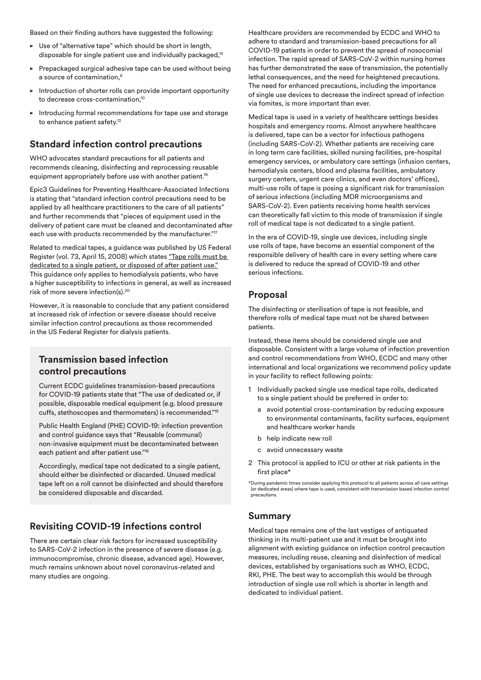Based on their finding authors have suggested the following:

- Use of "alternative tape" which should be short in length, disposable for single patient use and individually packaged,<sup>15</sup>
- $\blacktriangleright$  Prepackaged surgical adhesive tape can be used without being a source of contamination,<sup>9</sup>
- Introduction of shorter rolls can provide important opportunity to decrease cross-contamination.<sup>10</sup>
- Introducing formal recommendations for tape use and storage to enhance patient safety.<sup>12</sup>

#### **Standard infection control precautions**

WHO advocates standard precautions for all patients and recommends cleaning, disinfecting and reprocessing reusable equipment appropriately before use with another patient.<sup>16</sup>

Epic3 Guidelines for Preventing Healthcare-Associated Infections is stating that "standard infection control precautions need to be applied by all healthcare practitioners to the care of all patients" and further recommends that "pieces of equipment used in the delivery of patient care must be cleaned and decontaminated after each use with products recommended by the manufacturer."<sup>17</sup>

Related to medical tapes, a guidance was published by US Federal Register (vol. 73, April 15, 2008) which states "Tape rolls must be dedicated to a single patient, or disposed of after patient use." This guidance only applies to hemodialysis patients, who have a higher susceptibility to infections in general, as well as increased risk of more severe infection(s).20

However, it is reasonable to conclude that any patient considered at increased risk of infection or severe disease should receive similar infection control precautions as those recommended in the US Federal Register for dialysis patients.

#### **Transmission based infection control precautions**

Current ECDC guidelines transmission-based precautions for COVID-19 patients state that "The use of dedicated or, if possible, disposable medical equipment (e.g. blood pressure cuffs, stethoscopes and thermometers) is recommended."18

Public Health England (PHE) COVID-19: infection prevention and control guidance says that "Reusable (communal) non-invasive equipment must be decontaminated between each patient and after patient use."19

Accordingly, medical tape not dedicated to a single patient, should either be disinfected or discarded. Unused medical tape left on a roll cannot be disinfected and should therefore be considered disposable and discarded.

#### **Revisiting COVID-19 infections control**

There are certain clear risk factors for increased susceptibility to SARS-CoV-2 infection in the presence of severe disease (e.g. immunocompromise, chronic disease, advanced age). However, much remains unknown about novel coronavirus-related and many studies are ongoing.

Healthcare providers are recommended by ECDC and WHO to adhere to standard and transmission-based precautions for all COVID-19 patients in order to prevent the spread of nosocomial infection. The rapid spread of SARS-CoV-2 within nursing homes has further demonstrated the ease of transmission, the potentially lethal consequences, and the need for heightened precautions. The need for enhanced precautions, including the importance of single use devices to decrease the indirect spread of infection via fomites, is more important than ever.

Medical tape is used in a variety of healthcare settings besides hospitals and emergency rooms. Almost anywhere healthcare is delivered, tape can be a vector for infectious pathogens (including SARS-CoV-2). Whether patients are receiving care in long term care facilities, skilled nursing facilities, pre-hospital emergency services, or ambulatory care settings (infusion centers, hemodialysis centers, blood and plasma facilities, ambulatory surgery centers, urgent care clinics, and even doctors' offices), multi-use rolls of tape is posing a significant risk for transmission of serious infections (including MDR microorganisms and SARS-CoV-2). Even patients receiving home health services can theoretically fall victim to this mode of transmission if single roll of medical tape is not dedicated to a single patient.

In the era of COVID-19, single use devices, including single use rolls of tape, have become an essential component of the responsible delivery of health care in every setting where care is delivered to reduce the spread of COVID-19 and other serious infections.

#### **Proposal**

The disinfecting or sterilisation of tape is not feasible, and therefore rolls of medical tape must not be shared between patients.

Instead, these items should be considered single use and disposable. Consistent with a large volume of infection prevention and control recommendations from WHO, ECDC and many other international and local organizations we recommend policy update in your facility to reflect following points:

- 1 Individually packed single use medical tape rolls, dedicated to a single patient should be preferred in order to:
	- a avoid potential cross-contamination by reducing exposure to environmental contaminants, facility surfaces, equipment and healthcare worker hands
	- b help indicate new roll
	- c avoid unnecessary waste
- 2 This protocol is applied to ICU or other at risk patients in the first place\*

#### **Summary**

Medical tape remains one of the last vestiges of antiquated thinking in its multi-patient use and it must be brought into alignment with existing guidance on infection control precaution measures, including reuse, cleaning and disinfection of medical devices, established by organisations such as WHO, ECDC, RKI, PHE. The best way to accomplish this would be through introduction of single use roll which is shorter in length and dedicated to individual patient.

<sup>\*</sup>During pandemic times consider applying this protocol to all patients across all care settings (or dedicated areas) where tape is used, consistent with transmission based infection control precautions.